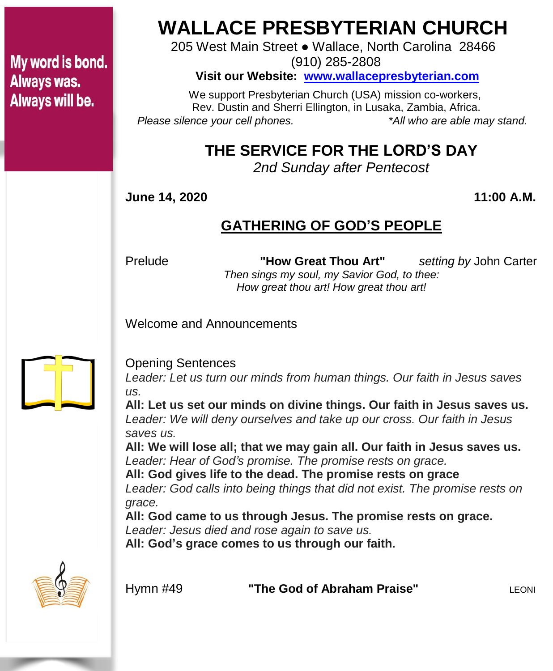### My word is bond. Always was. Always will be.

# **WALLACE PRESBYTERIAN CHURCH**

205 West Main Street ● Wallace, North Carolina 28466 (910) 285-2808

**Visit our Website: [www.wallacepresbyterian.com](http://www.wallacepresbyterian.com/)**

 We support Presbyterian Church (USA) mission co-workers, Rev. Dustin and Sherri Ellington, in Lusaka, Zambia, Africa. *Please silence your cell phones. \*All who are able may stand.*

## **THE SERVICE FOR THE LORD'S DAY**

*2nd Sunday after Pentecost*

**June 14, 2020 11:00 A.M.**

#### **GATHERING OF GOD'S PEOPLE**

Prelude **"How Great Thou Art"** *setting by* John Carter *Then sings my soul, my Savior God, to thee: How great thou art! How great thou art!*

Welcome and Announcements



#### Opening Sentences

*Leader: Let us turn our minds from human things. Our faith in Jesus saves us.*

**All: Let us set our minds on divine things. Our faith in Jesus saves us.** *Leader: We will deny ourselves and take up our cross. Our faith in Jesus saves us.*

**All: We will lose all; that we may gain all. Our faith in Jesus saves us.** *Leader: Hear of God's promise. The promise rests on grace.*

**All: God gives life to the dead. The promise rests on grace** *Leader: God calls into being things that did not exist. The promise rests on*

*grace.*

**All: God came to us through Jesus. The promise rests on grace.**

*Leader: Jesus died and rose again to save us.*

**All: God's grace comes to us through our faith.**



**Hymn #49 <b>"The God of Abraham Praise"** LEONI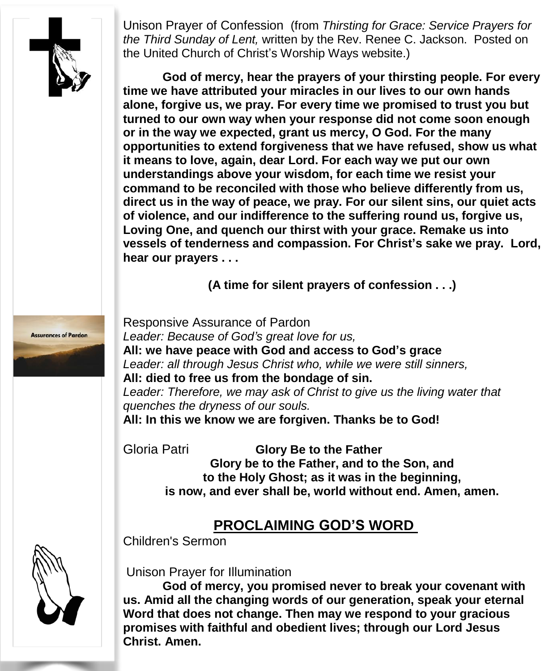

Unison Prayer of Confession (from *Thirsting for Grace: Service Prayers for the Third Sunday of Lent,* written by the Rev. Renee C. Jackson. Posted on the United Church of Christ's Worship Ways website.)

**God of mercy, hear the prayers of your thirsting people. For every time we have attributed your miracles in our lives to our own hands alone, forgive us, we pray. For every time we promised to trust you but turned to our own way when your response did not come soon enough or in the way we expected, grant us mercy, O God. For the many opportunities to extend forgiveness that we have refused, show us what it means to love, again, dear Lord. For each way we put our own understandings above your wisdom, for each time we resist your command to be reconciled with those who believe differently from us, direct us in the way of peace, we pray. For our silent sins, our quiet acts of violence, and our indifference to the suffering round us, forgive us, Loving One, and quench our thirst with your grace. Remake us into vessels of tenderness and compassion. For Christ's sake we pray. Lord, hear our prayers . . .**

**(A time for silent prayers of confession . . .)**

**Assurances of Pardon** 

Responsive Assurance of Pardon *Leader: Because of God's great love for us,* **All: we have peace with God and access to God's grace** *Leader: all through Jesus Christ who, while we were still sinners,* **All: died to free us from the bondage of sin.** *Leader: Therefore, we may ask of Christ to give us the living water that quenches the dryness of our souls.* **All: In this we know we are forgiven. Thanks be to God!**

Gloria Patri **Glory Be to the Father Glory be to the Father, and to the Son, and to the Holy Ghost; as it was in the beginning, is now, and ever shall be, world without end. Amen, amen.**

#### **PROCLAIMING GOD'S WORD**

Children's Sermon



Unison Prayer for Illumination

**God of mercy, you promised never to break your covenant with us. Amid all the changing words of our generation, speak your eternal Word that does not change. Then may we respond to your gracious promises with faithful and obedient lives; through our Lord Jesus Christ. Amen.**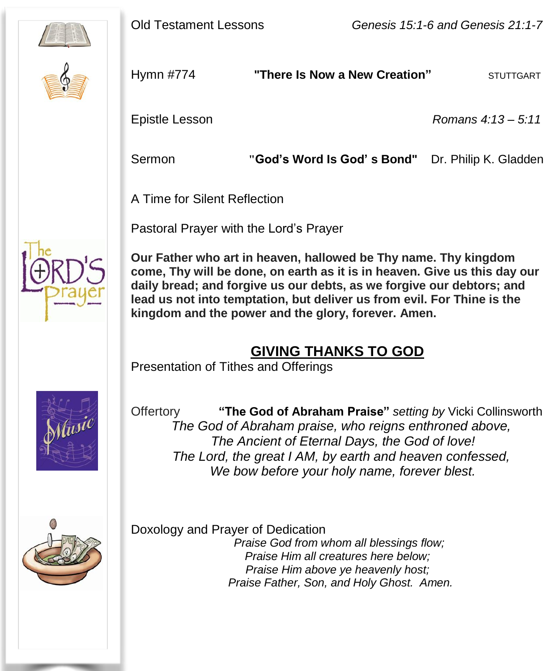





Hymn #774 **"There Is Now a New Creation"** STUTTGART

Epistle Lesson *Romans 4:13 – 5:11*

Sermon **"God's Word Is God' s Bond"** Dr. Philip K. Gladden

A Time for Silent Reflection

Pastoral Prayer with the Lord's Prayer



 **come, Thy will be done, on earth as it is in heaven. Give us this day our daily bread; and forgive us our debts, as we forgive our debtors; and Our Father who art in heaven, hallowed be Thy name. Thy kingdom lead us not into temptation, but deliver us from evil. For Thine is the kingdom and the power and the glory, forever. Amen.**

#### **GIVING THANKS TO GOD**

Presentation of Tithes and Offerings



Offertory **"The God of Abraham Praise"** *setting by* Vicki Collinsworth  *The God of Abraham praise, who reigns enthroned above, The Ancient of Eternal Days, the God of love! The Lord, the great I AM, by earth and heaven confessed, We bow before your holy name, forever blest.*



 Doxology and Prayer of Dedication *Praise God from whom all blessings flow; Praise Him all creatures here below; Praise Him above ye heavenly host; Praise Father, Son, and Holy Ghost. Amen.*